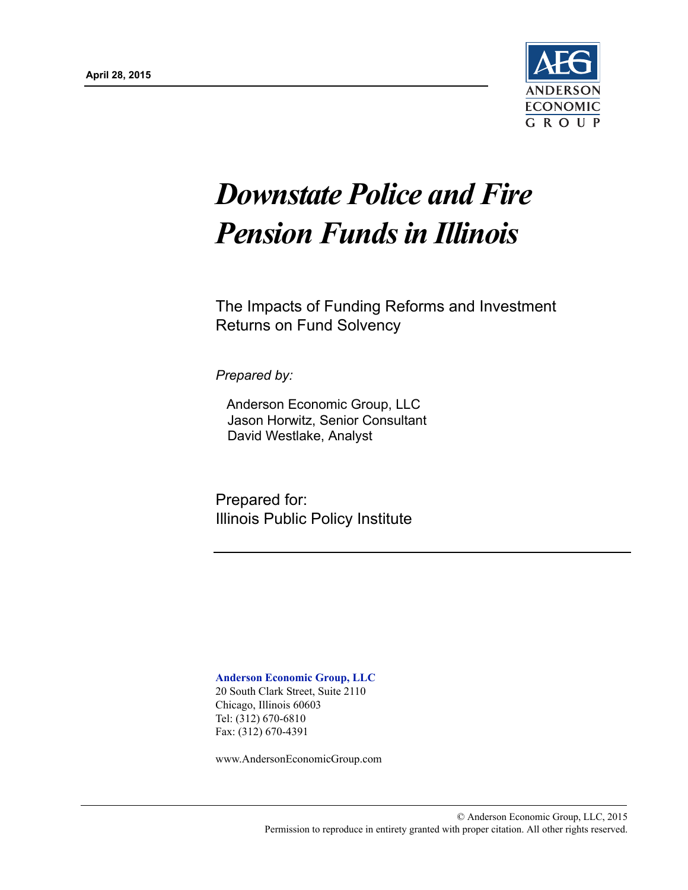

# *Downstate Police and Fire Pension Funds in Illinois*

The Impacts of Funding Reforms and Investment Returns on Fund Solvency

*Prepared by:*

Anderson Economic Group, LLC Jason Horwitz, Senior Consultant David Westlake, Analyst

Prepared for: Illinois Public Policy Institute

**Anderson Economic Group, LLC** 20 South Clark Street, Suite 2110 Chicago, Illinois 60603 Tel: (312) 670-6810 Fax: (312) 670-4391

www.AndersonEconomicGroup.com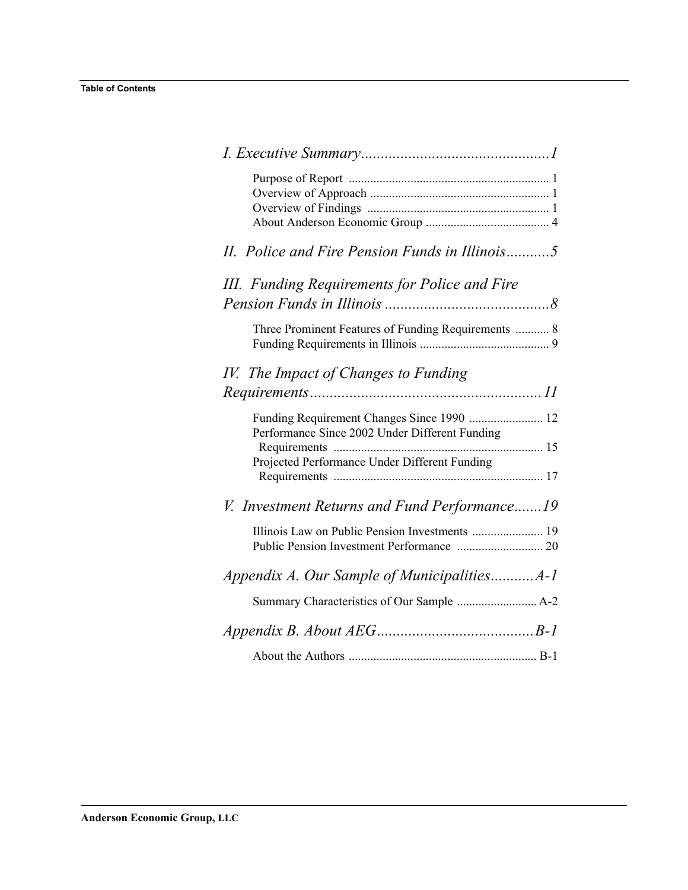| II. Police and Fire Pension Funds in Illinois5                                               |
|----------------------------------------------------------------------------------------------|
| III. Funding Requirements for Police and Fire                                                |
| Three Prominent Features of Funding Requirements  8                                          |
| IV. The Impact of Changes to Funding                                                         |
| Funding Requirement Changes Since 1990  12<br>Performance Since 2002 Under Different Funding |
| Projected Performance Under Different Funding                                                |
| V. Investment Returns and Fund Performance19                                                 |
|                                                                                              |
|                                                                                              |
|                                                                                              |
|                                                                                              |
|                                                                                              |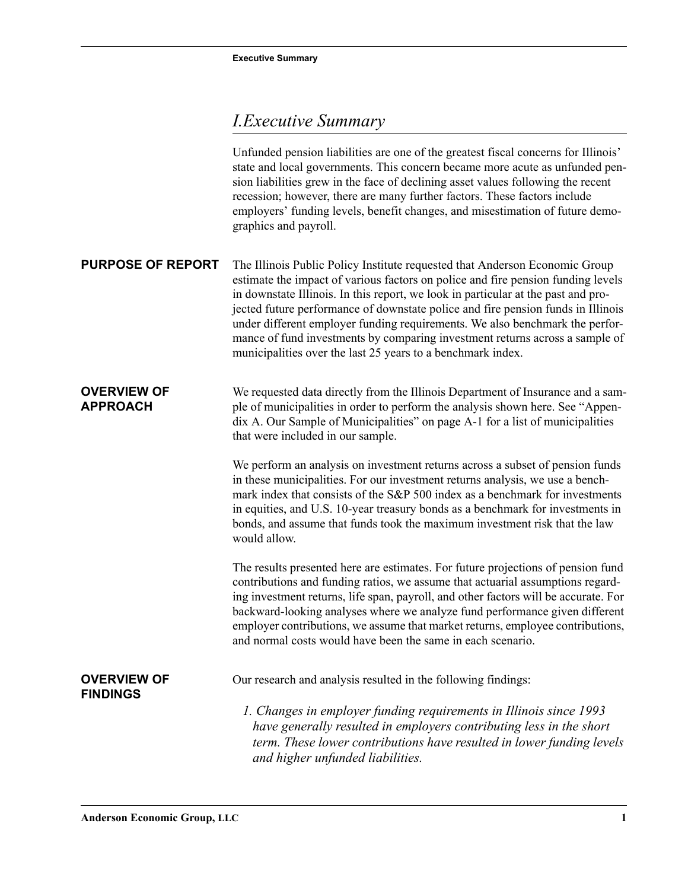# <span id="page-2-0"></span>*I.Executive Summary*

<span id="page-2-3"></span><span id="page-2-2"></span><span id="page-2-1"></span>

|                                       | Unfunded pension liabilities are one of the greatest fiscal concerns for Illinois'<br>state and local governments. This concern became more acute as unfunded pen-<br>sion liabilities grew in the face of declining asset values following the recent<br>recession; however, there are many further factors. These factors include<br>employers' funding levels, benefit changes, and misestimation of future demo-<br>graphics and payroll.                                                                                                                           |
|---------------------------------------|-------------------------------------------------------------------------------------------------------------------------------------------------------------------------------------------------------------------------------------------------------------------------------------------------------------------------------------------------------------------------------------------------------------------------------------------------------------------------------------------------------------------------------------------------------------------------|
| <b>PURPOSE OF REPORT</b>              | The Illinois Public Policy Institute requested that Anderson Economic Group<br>estimate the impact of various factors on police and fire pension funding levels<br>in downstate Illinois. In this report, we look in particular at the past and pro-<br>jected future performance of downstate police and fire pension funds in Illinois<br>under different employer funding requirements. We also benchmark the perfor-<br>mance of fund investments by comparing investment returns across a sample of<br>municipalities over the last 25 years to a benchmark index. |
| <b>OVERVIEW OF</b><br><b>APPROACH</b> | We requested data directly from the Illinois Department of Insurance and a sam-<br>ple of municipalities in order to perform the analysis shown here. See "Appen-<br>dix A. Our Sample of Municipalities" on page A-1 for a list of municipalities<br>that were included in our sample.                                                                                                                                                                                                                                                                                 |
|                                       | We perform an analysis on investment returns across a subset of pension funds<br>in these municipalities. For our investment returns analysis, we use a bench-<br>mark index that consists of the S&P 500 index as a benchmark for investments<br>in equities, and U.S. 10-year treasury bonds as a benchmark for investments in<br>bonds, and assume that funds took the maximum investment risk that the law<br>would allow.                                                                                                                                          |
|                                       | The results presented here are estimates. For future projections of pension fund<br>contributions and funding ratios, we assume that actuarial assumptions regard-<br>ing investment returns, life span, payroll, and other factors will be accurate. For<br>backward-looking analyses where we analyze fund performance given different<br>employer contributions, we assume that market returns, employee contributions,<br>and normal costs would have been the same in each scenario.                                                                               |
| <b>OVERVIEW OF</b><br><b>FINDINGS</b> | Our research and analysis resulted in the following findings:                                                                                                                                                                                                                                                                                                                                                                                                                                                                                                           |
|                                       | 1. Changes in employer funding requirements in Illinois since 1993<br>have generally resulted in employers contributing less in the short<br>term. These lower contributions have resulted in lower funding levels<br>and higher unfunded liabilities.                                                                                                                                                                                                                                                                                                                  |
|                                       |                                                                                                                                                                                                                                                                                                                                                                                                                                                                                                                                                                         |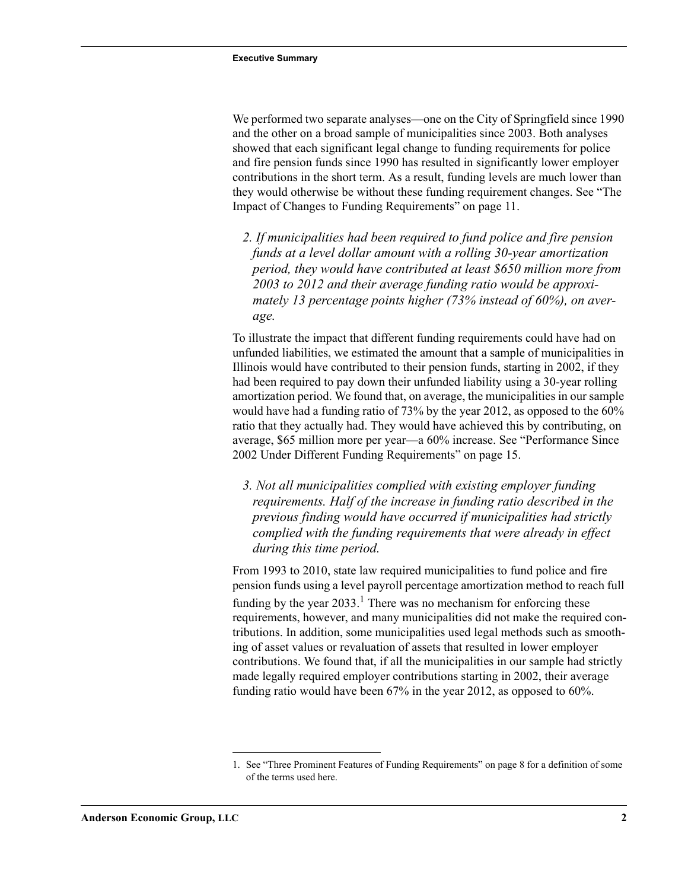We performed two separate analyses—one on the City of Springfield since 1990 and the other on a broad sample of municipalities since 2003. Both analyses showed that each significant legal change to funding requirements for police and fire pension funds since 1990 has resulted in significantly lower employer contributions in the short term. As a result, funding levels are much lower than they would otherwise be without these funding requirement changes. See ["The](#page-12-1)  [Impact of Changes to Funding Requirements" on page 11.](#page-12-1)

 *2. If municipalities had been required to fund police and fire pension funds at a level dollar amount with a rolling 30-year amortization period, they would have contributed at least \$650 million more from 2003 to 2012 and their average funding ratio would be approximately 13 percentage points higher (73% instead of 60%), on average.*

To illustrate the impact that different funding requirements could have had on unfunded liabilities, we estimated the amount that a sample of municipalities in Illinois would have contributed to their pension funds, starting in 2002, if they had been required to pay down their unfunded liability using a 30-year rolling amortization period. We found that, on average, the municipalities in our sample would have had a funding ratio of 73% by the year 2012, as opposed to the 60% ratio that they actually had. They would have achieved this by contributing, on average, \$65 million more per year—a 60% increase. See ["Performance Since](#page-16-1)  [2002 Under Different Funding Requirements" on page 15](#page-16-1).

 *3. Not all municipalities complied with existing employer funding requirements. Half of the increase in funding ratio described in the previous finding would have occurred if municipalities had strictly complied with the funding requirements that were already in effect during this time period.*

From 1993 to 2010, state law required municipalities to fund police and fire pension funds using a level payroll percentage amortization method to reach full funding by the year  $2033$ .<sup>1</sup> There was no mechanism for enforcing these requirements, however, and many municipalities did not make the required contributions. In addition, some municipalities used legal methods such as smoothing of asset values or revaluation of assets that resulted in lower employer contributions. We found that, if all the municipalities in our sample had strictly made legally required employer contributions starting in 2002, their average funding ratio would have been 67% in the year 2012, as opposed to 60%.

<sup>1.</sup> See ["Three Prominent Features of Funding Requirements" on page 8](#page-9-2) for a definition of some of the terms used here.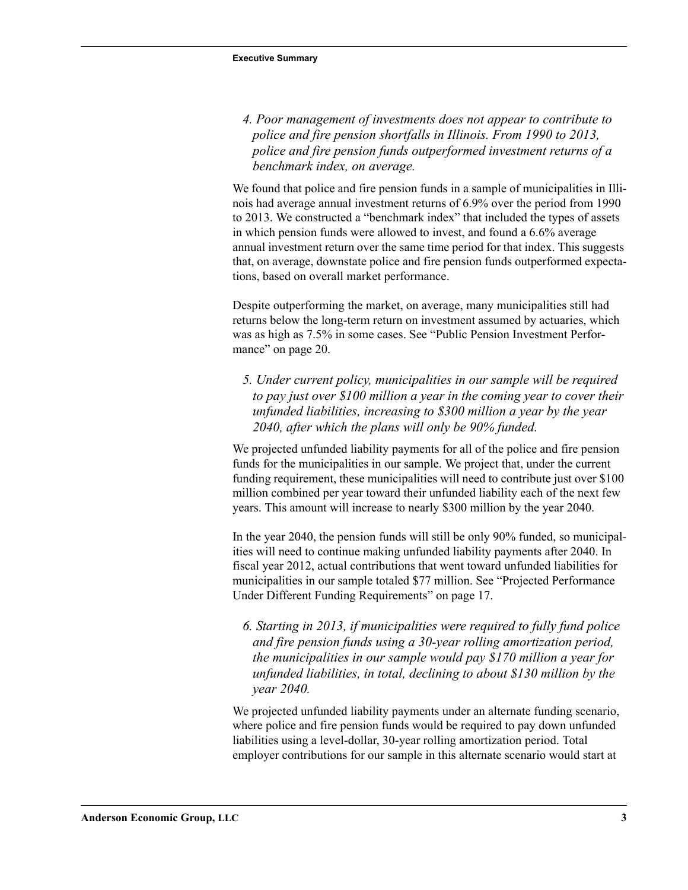*4. Poor management of investments does not appear to contribute to police and fire pension shortfalls in Illinois. From 1990 to 2013, police and fire pension funds outperformed investment returns of a benchmark index, on average.*

We found that police and fire pension funds in a sample of municipalities in Illinois had average annual investment returns of 6.9% over the period from 1990 to 2013. We constructed a "benchmark index" that included the types of assets in which pension funds were allowed to invest, and found a 6.6% average annual investment return over the same time period for that index. This suggests that, on average, downstate police and fire pension funds outperformed expectations, based on overall market performance.

Despite outperforming the market, on average, many municipalities still had returns below the long-term return on investment assumed by actuaries, which was as high as 7.5% in some cases. See ["Public Pension Investment Perfor](#page-21-1)[mance" on page 20](#page-21-1).

 *5. Under current policy, municipalities in our sample will be required to pay just over \$100 million a year in the coming year to cover their unfunded liabilities, increasing to \$300 million a year by the year 2040, after which the plans will only be 90% funded.*

We projected unfunded liability payments for all of the police and fire pension funds for the municipalities in our sample. We project that, under the current funding requirement, these municipalities will need to contribute just over \$100 million combined per year toward their unfunded liability each of the next few years. This amount will increase to nearly \$300 million by the year 2040.

In the year 2040, the pension funds will still be only 90% funded, so municipalities will need to continue making unfunded liability payments after 2040. In fiscal year 2012, actual contributions that went toward unfunded liabilities for municipalities in our sample totaled \$77 million. See ["Projected Performance](#page-18-1)  [Under Different Funding Requirements" on page 17](#page-18-1).

 *6. Starting in 2013, if municipalities were required to fully fund police and fire pension funds using a 30-year rolling amortization period, the municipalities in our sample would pay \$170 million a year for unfunded liabilities, in total, declining to about \$130 million by the year 2040.*

We projected unfunded liability payments under an alternate funding scenario, where police and fire pension funds would be required to pay down unfunded liabilities using a level-dollar, 30-year rolling amortization period. Total employer contributions for our sample in this alternate scenario would start at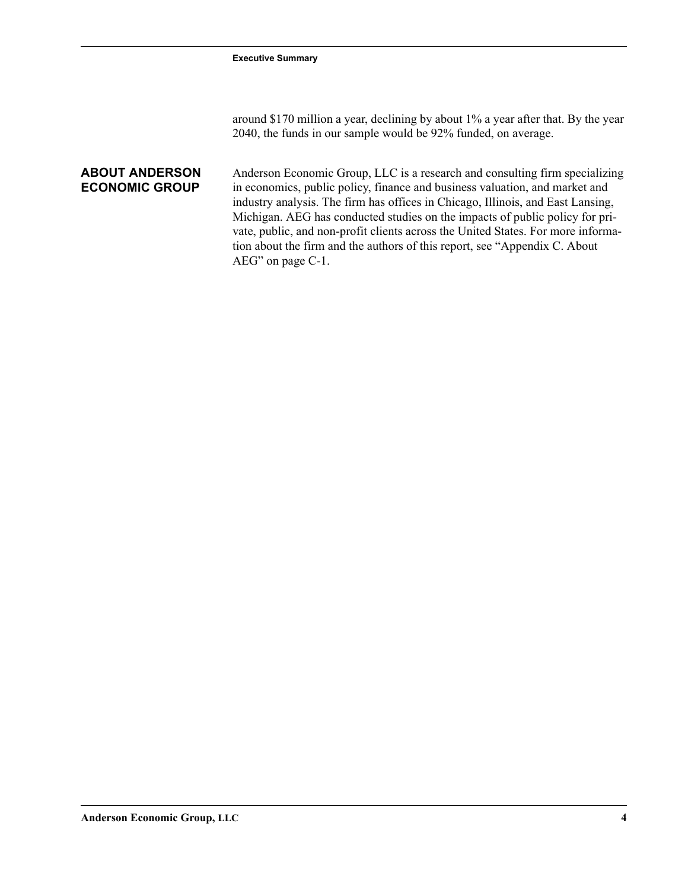around \$170 million a year, declining by about 1% a year after that. By the year 2040, the funds in our sample would be 92% funded, on average.

#### <span id="page-5-0"></span>**ABOUT ANDERSON ECONOMIC GROUP**

Anderson Economic Group, LLC is a research and consulting firm specializing in economics, public policy, finance and business valuation, and market and industry analysis. The firm has offices in Chicago, Illinois, and East Lansing, Michigan. AEG has conducted studies on the impacts of public policy for private, public, and non-profit clients across the United States. For more information about the firm and the authors of this report, see "Appendix C. About AEG" on page C-1.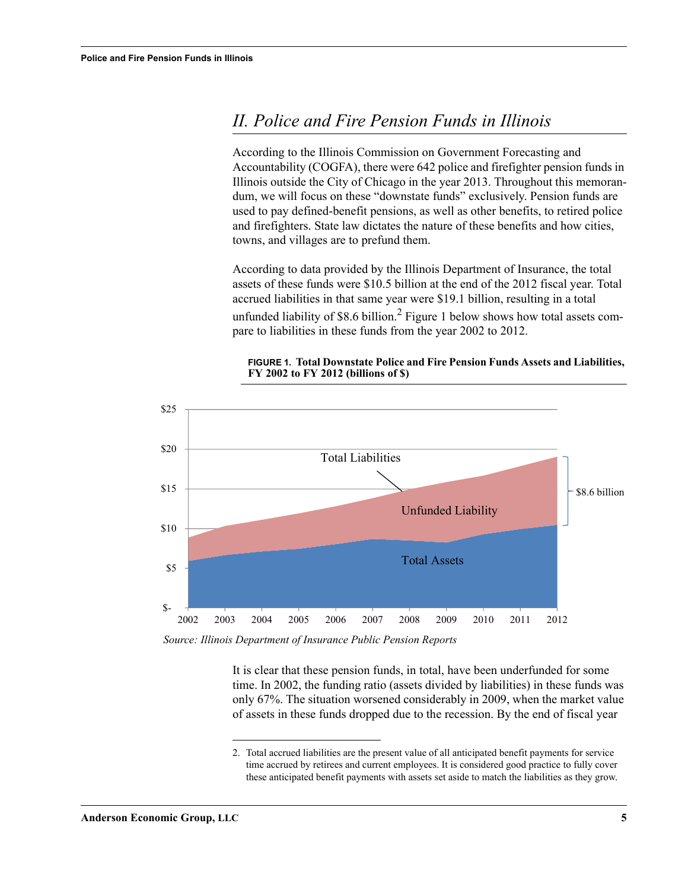## <span id="page-6-0"></span>*II. Police and Fire Pension Funds in Illinois*

According to the Illinois Commission on Government Forecasting and Accountability (COGFA), there were 642 police and firefighter pension funds in Illinois outside the City of Chicago in the year 2013. Throughout this memorandum, we will focus on these "downstate funds" exclusively. Pension funds are used to pay defined-benefit pensions, as well as other benefits, to retired police and firefighters. State law dictates the nature of these benefits and how cities, towns, and villages are to prefund them.

According to data provided by the Illinois Department of Insurance, the total assets of these funds were \$10.5 billion at the end of the 2012 fiscal year. Total accrued liabilities in that same year were \$19.1 billion, resulting in a total unfunded liability of \$8.6 billion.<sup>2</sup> Figure 1 below shows how total assets compare to liabilities in these funds from the year 2002 to 2012.



#### **FIGURE 1. Total Downstate Police and Fire Pension Funds Assets and Liabilities, FY 2002 to FY 2012 (billions of \$)**

*Source: Illinois Department of Insurance Public Pension Reports*

It is clear that these pension funds, in total, have been underfunded for some time. In 2002, the funding ratio (assets divided by liabilities) in these funds was only 67%. The situation worsened considerably in 2009, when the market value of assets in these funds dropped due to the recession. By the end of fiscal year

<sup>2.</sup> Total accrued liabilities are the present value of all anticipated benefit payments for service time accrued by retirees and current employees. It is considered good practice to fully cover these anticipated benefit payments with assets set aside to match the liabilities as they grow.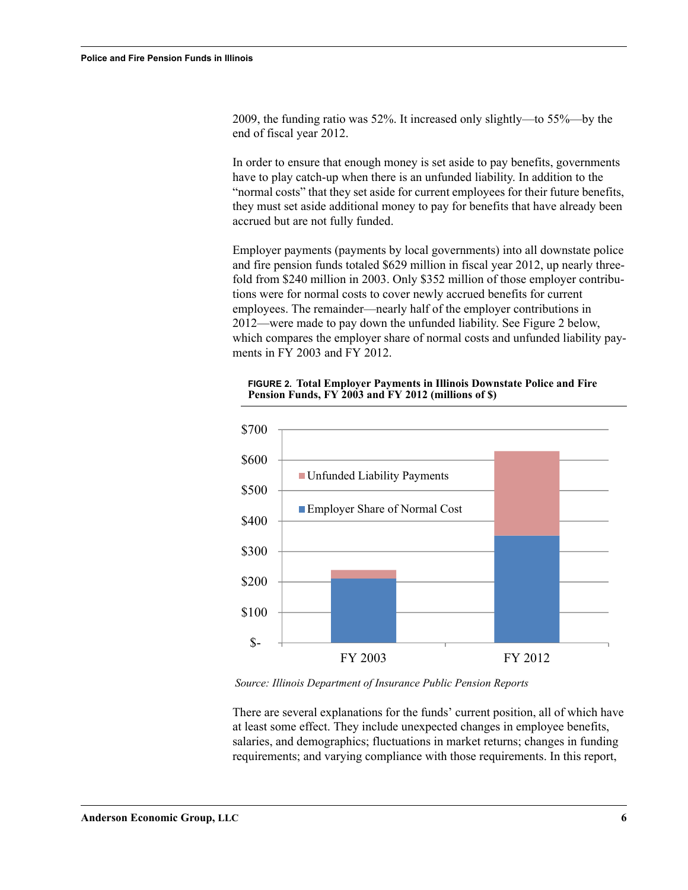2009, the funding ratio was 52%. It increased only slightly—to 55%—by the end of fiscal year 2012.

In order to ensure that enough money is set aside to pay benefits, governments have to play catch-up when there is an unfunded liability. In addition to the "normal costs" that they set aside for current employees for their future benefits, they must set aside additional money to pay for benefits that have already been accrued but are not fully funded.

Employer payments (payments by local governments) into all downstate police and fire pension funds totaled \$629 million in fiscal year 2012, up nearly threefold from \$240 million in 2003. Only \$352 million of those employer contributions were for normal costs to cover newly accrued benefits for current employees. The remainder—nearly half of the employer contributions in 2012—were made to pay down the unfunded liability. See [Figure 2](#page-7-0) below, which compares the employer share of normal costs and unfunded liability payments in FY 2003 and FY 2012.

<span id="page-7-0"></span>**FIGURE 2. Total Employer Payments in Illinois Downstate Police and Fire Pension Funds, FY 2003 and FY 2012 (millions of \$)**



*Source: Illinois Department of Insurance Public Pension Reports*

There are several explanations for the funds' current position, all of which have at least some effect. They include unexpected changes in employee benefits, salaries, and demographics; fluctuations in market returns; changes in funding requirements; and varying compliance with those requirements. In this report,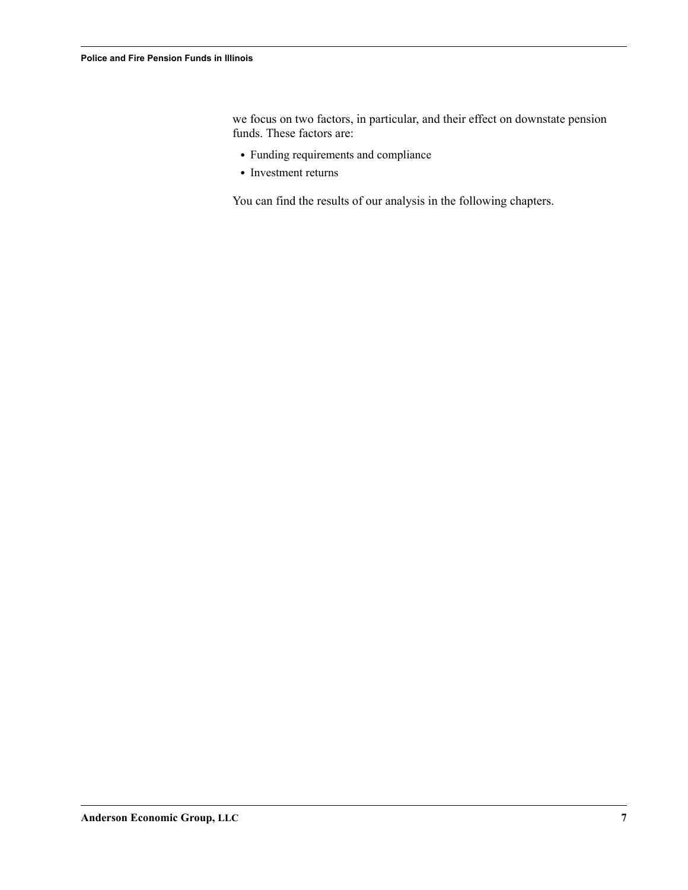we focus on two factors, in particular, and their effect on downstate pension funds. These factors are:

- **•** Funding requirements and compliance
- **•** Investment returns

You can find the results of our analysis in the following chapters.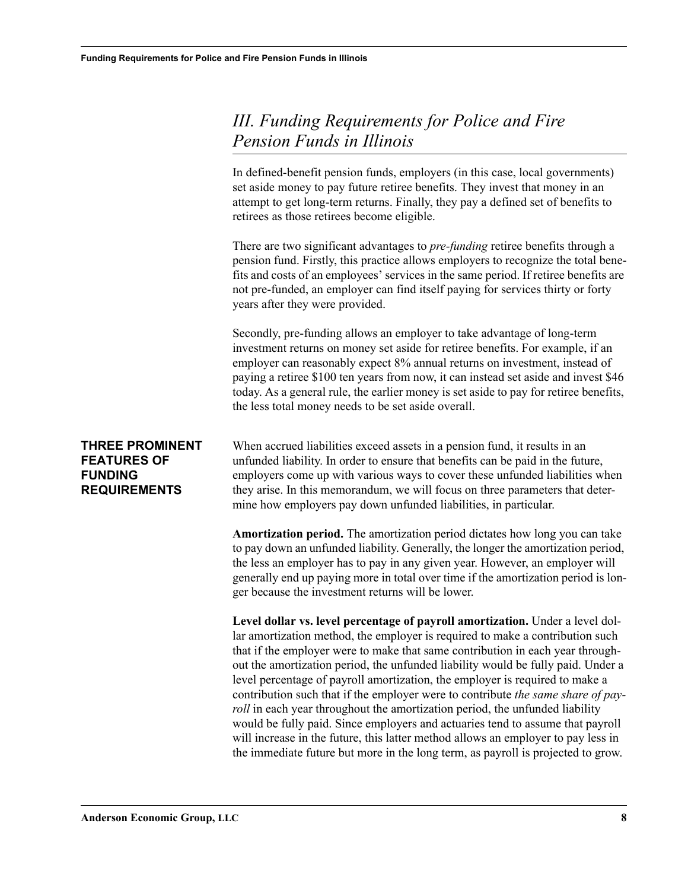# <span id="page-9-0"></span>*III. Funding Requirements for Police and Fire Pension Funds in Illinois*

In defined-benefit pension funds, employers (in this case, local governments) set aside money to pay future retiree benefits. They invest that money in an attempt to get long-term returns. Finally, they pay a defined set of benefits to retirees as those retirees become eligible.

There are two significant advantages to *pre-funding* retiree benefits through a pension fund. Firstly, this practice allows employers to recognize the total benefits and costs of an employees' services in the same period. If retiree benefits are not pre-funded, an employer can find itself paying for services thirty or forty years after they were provided.

Secondly, pre-funding allows an employer to take advantage of long-term investment returns on money set aside for retiree benefits. For example, if an employer can reasonably expect 8% annual returns on investment, instead of paying a retiree \$100 ten years from now, it can instead set aside and invest \$46 today. As a general rule, the earlier money is set aside to pay for retiree benefits, the less total money needs to be set aside overall.

#### <span id="page-9-2"></span><span id="page-9-1"></span>**THREE PROMINENT FEATURES OF FUNDING REQUIREMENTS**

When accrued liabilities exceed assets in a pension fund, it results in an unfunded liability. In order to ensure that benefits can be paid in the future, employers come up with various ways to cover these unfunded liabilities when they arise. In this memorandum, we will focus on three parameters that determine how employers pay down unfunded liabilities, in particular.

**Amortization period.** The amortization period dictates how long you can take to pay down an unfunded liability. Generally, the longer the amortization period, the less an employer has to pay in any given year. However, an employer will generally end up paying more in total over time if the amortization period is longer because the investment returns will be lower.

**Level dollar vs. level percentage of payroll amortization.** Under a level dollar amortization method, the employer is required to make a contribution such that if the employer were to make that same contribution in each year throughout the amortization period, the unfunded liability would be fully paid. Under a level percentage of payroll amortization, the employer is required to make a contribution such that if the employer were to contribute *the same share of payroll* in each year throughout the amortization period, the unfunded liability would be fully paid. Since employers and actuaries tend to assume that payroll will increase in the future, this latter method allows an employer to pay less in the immediate future but more in the long term, as payroll is projected to grow.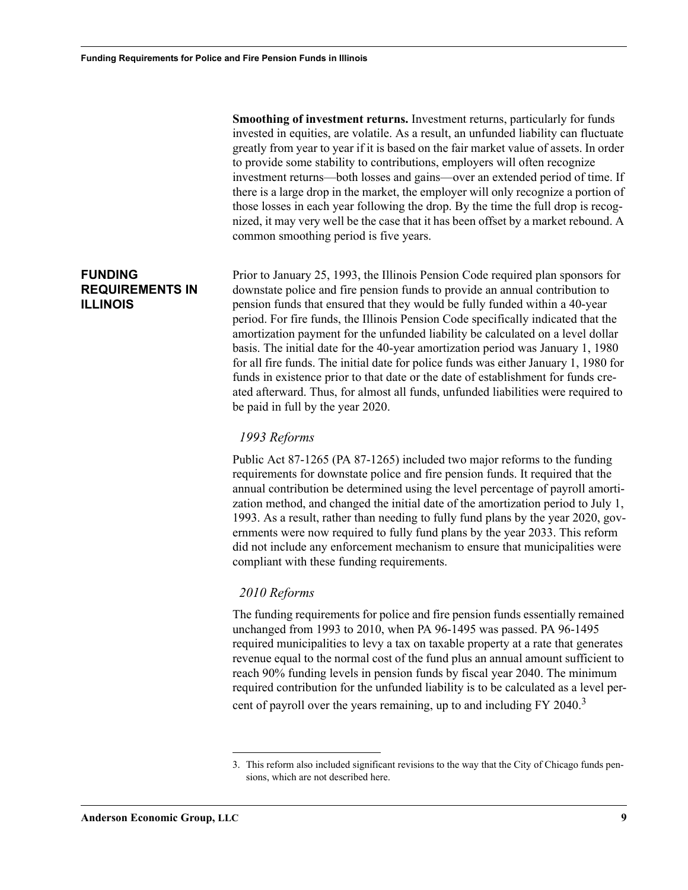**Smoothing of investment returns.** Investment returns, particularly for funds invested in equities, are volatile. As a result, an unfunded liability can fluctuate greatly from year to year if it is based on the fair market value of assets. In order to provide some stability to contributions, employers will often recognize investment returns—both losses and gains—over an extended period of time. If there is a large drop in the market, the employer will only recognize a portion of those losses in each year following the drop. By the time the full drop is recognized, it may very well be the case that it has been offset by a market rebound. A common smoothing period is five years.

Prior to January 25, 1993, the Illinois Pension Code required plan sponsors for downstate police and fire pension funds to provide an annual contribution to pension funds that ensured that they would be fully funded within a 40-year period. For fire funds, the Illinois Pension Code specifically indicated that the amortization payment for the unfunded liability be calculated on a level dollar basis. The initial date for the 40-year amortization period was January 1, 1980 for all fire funds. The initial date for police funds was either January 1, 1980 for funds in existence prior to that date or the date of establishment for funds created afterward. Thus, for almost all funds, unfunded liabilities were required to be paid in full by the year 2020.

#### *1993 Reforms*

Public Act 87-1265 (PA 87-1265) included two major reforms to the funding requirements for downstate police and fire pension funds. It required that the annual contribution be determined using the level percentage of payroll amortization method, and changed the initial date of the amortization period to July 1, 1993. As a result, rather than needing to fully fund plans by the year 2020, governments were now required to fully fund plans by the year 2033. This reform did not include any enforcement mechanism to ensure that municipalities were compliant with these funding requirements.

#### *2010 Reforms*

The funding requirements for police and fire pension funds essentially remained unchanged from 1993 to 2010, when PA 96-1495 was passed. PA 96-1495 required municipalities to levy a tax on taxable property at a rate that generates revenue equal to the normal cost of the fund plus an annual amount sufficient to reach 90% funding levels in pension funds by fiscal year 2040. The minimum required contribution for the unfunded liability is to be calculated as a level percent of payroll over the years remaining, up to and including FY 2040.<sup>3</sup>

#### <span id="page-10-1"></span><span id="page-10-0"></span>**FUNDING REQUIREMENTS IN ILLINOIS**

<sup>3.</sup> This reform also included significant revisions to the way that the City of Chicago funds pensions, which are not described here.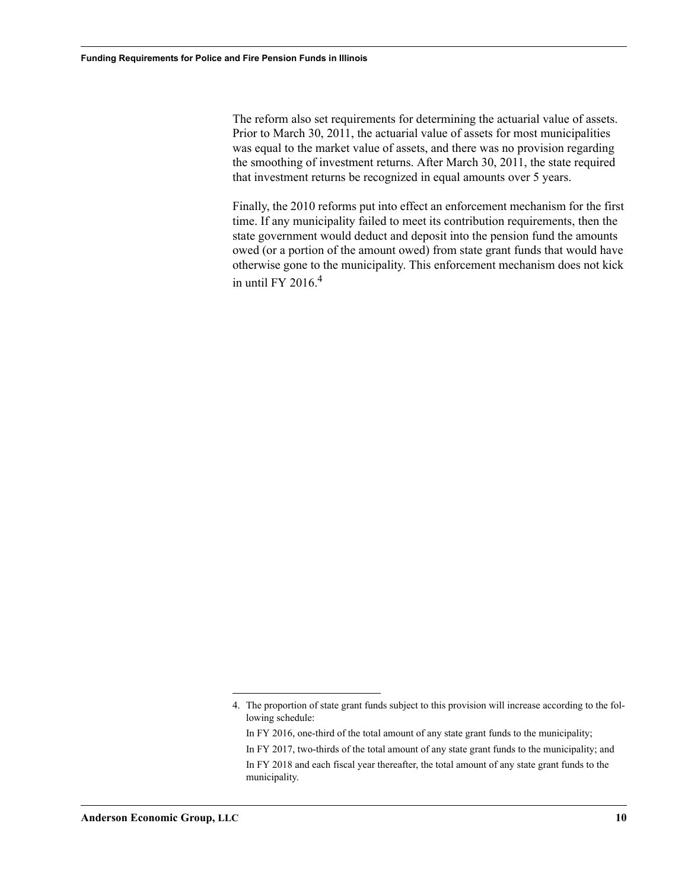The reform also set requirements for determining the actuarial value of assets. Prior to March 30, 2011, the actuarial value of assets for most municipalities was equal to the market value of assets, and there was no provision regarding the smoothing of investment returns. After March 30, 2011, the state required that investment returns be recognized in equal amounts over 5 years.

Finally, the 2010 reforms put into effect an enforcement mechanism for the first time. If any municipality failed to meet its contribution requirements, then the state government would deduct and deposit into the pension fund the amounts owed (or a portion of the amount owed) from state grant funds that would have otherwise gone to the municipality. This enforcement mechanism does not kick in until FY 2016 $4$ 

<sup>4.</sup> The proportion of state grant funds subject to this provision will increase according to the following schedule:

In FY 2016, one-third of the total amount of any state grant funds to the municipality;

In FY 2017, two-thirds of the total amount of any state grant funds to the municipality; and

In FY 2018 and each fiscal year thereafter, the total amount of any state grant funds to the municipality.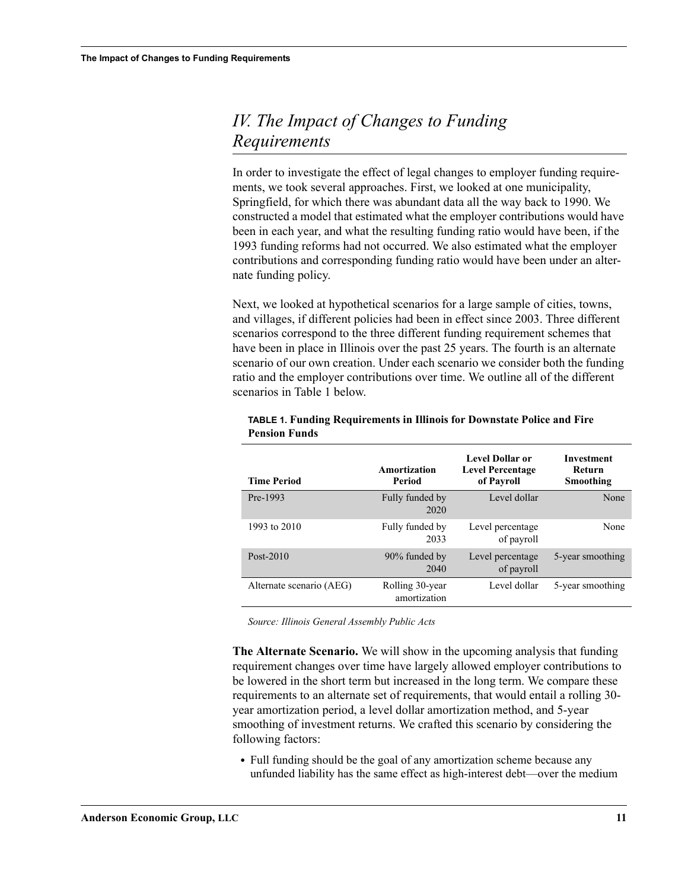# <span id="page-12-1"></span><span id="page-12-0"></span>*IV. The Impact of Changes to Funding Requirements*

In order to investigate the effect of legal changes to employer funding requirements, we took several approaches. First, we looked at one municipality, Springfield, for which there was abundant data all the way back to 1990. We constructed a model that estimated what the employer contributions would have been in each year, and what the resulting funding ratio would have been, if the 1993 funding reforms had not occurred. We also estimated what the employer contributions and corresponding funding ratio would have been under an alternate funding policy.

Next, we looked at hypothetical scenarios for a large sample of cities, towns, and villages, if different policies had been in effect since 2003. Three different scenarios correspond to the three different funding requirement schemes that have been in place in Illinois over the past 25 years. The fourth is an alternate scenario of our own creation. Under each scenario we consider both the funding ratio and the employer contributions over time. We outline all of the different scenarios in Table 1 below.

| <b>Time Period</b>       | Amortization<br>Period          | <b>Level Dollar or</b><br><b>Level Percentage</b><br>of Payroll | Investment<br>Return<br>Smoothing |
|--------------------------|---------------------------------|-----------------------------------------------------------------|-----------------------------------|
| Pre-1993                 | Fully funded by<br>2020         | Level dollar                                                    | None                              |
| 1993 to 2010             | Fully funded by<br>2033         | Level percentage<br>of payroll                                  | None                              |
| Post- $2010$             | 90% funded by<br>2040           | Level percentage<br>of payroll                                  | 5-year smoothing                  |
| Alternate scenario (AEG) | Rolling 30-year<br>amortization | Level dollar                                                    | 5-year smoothing                  |

#### **TABLE 1. Funding Requirements in Illinois for Downstate Police and Fire Pension Funds**

*Source: Illinois General Assembly Public Acts*

**The Alternate Scenario.** We will show in the upcoming analysis that funding requirement changes over time have largely allowed employer contributions to be lowered in the short term but increased in the long term. We compare these requirements to an alternate set of requirements, that would entail a rolling 30 year amortization period, a level dollar amortization method, and 5-year smoothing of investment returns. We crafted this scenario by considering the following factors:

**•** Full funding should be the goal of any amortization scheme because any unfunded liability has the same effect as high-interest debt—over the medium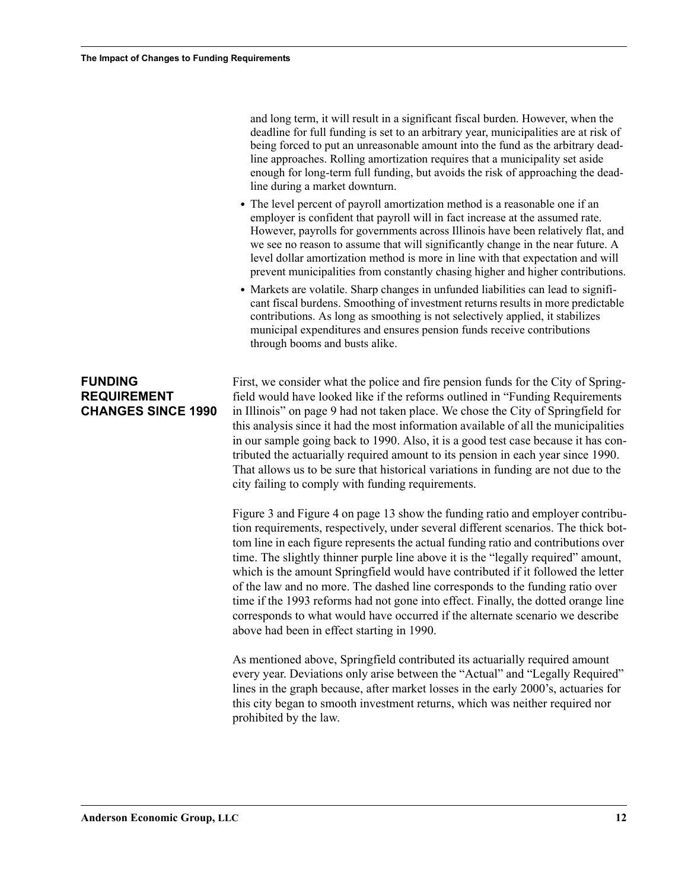and long term, it will result in a significant fiscal burden. However, when the deadline for full funding is set to an arbitrary year, municipalities are at risk of being forced to put an unreasonable amount into the fund as the arbitrary deadline approaches. Rolling amortization requires that a municipality set aside enough for long-term full funding, but avoids the risk of approaching the deadline during a market downturn.

- **•** The level percent of payroll amortization method is a reasonable one if an employer is confident that payroll will in fact increase at the assumed rate. However, payrolls for governments across Illinois have been relatively flat, and we see no reason to assume that will significantly change in the near future. A level dollar amortization method is more in line with that expectation and will prevent municipalities from constantly chasing higher and higher contributions.
- **•** Markets are volatile. Sharp changes in unfunded liabilities can lead to significant fiscal burdens. Smoothing of investment returns results in more predictable contributions. As long as smoothing is not selectively applied, it stabilizes municipal expenditures and ensures pension funds receive contributions through booms and busts alike.

#### <span id="page-13-0"></span>**FUNDING REQUIREMENT CHANGES SINCE 1990**

First, we consider what the police and fire pension funds for the City of Springfield would have looked like if the reforms outlined in ["Funding Requirements](#page-10-1)  [in Illinois" on page 9](#page-10-1) had not taken place. We chose the City of Springfield for this analysis since it had the most information available of all the municipalities in our sample going back to 1990. Also, it is a good test case because it has contributed the actuarially required amount to its pension in each year since 1990. That allows us to be sure that historical variations in funding are not due to the city failing to comply with funding requirements.

Figure 3 and Figure 4 on page 13 show the funding ratio and employer contribution requirements, respectively, under several different scenarios. The thick bottom line in each figure represents the actual funding ratio and contributions over time. The slightly thinner purple line above it is the "legally required" amount, which is the amount Springfield would have contributed if it followed the letter of the law and no more. The dashed line corresponds to the funding ratio over time if the 1993 reforms had not gone into effect. Finally, the dotted orange line corresponds to what would have occurred if the alternate scenario we describe above had been in effect starting in 1990.

As mentioned above, Springfield contributed its actuarially required amount every year. Deviations only arise between the "Actual" and "Legally Required" lines in the graph because, after market losses in the early 2000's, actuaries for this city began to smooth investment returns, which was neither required nor prohibited by the law.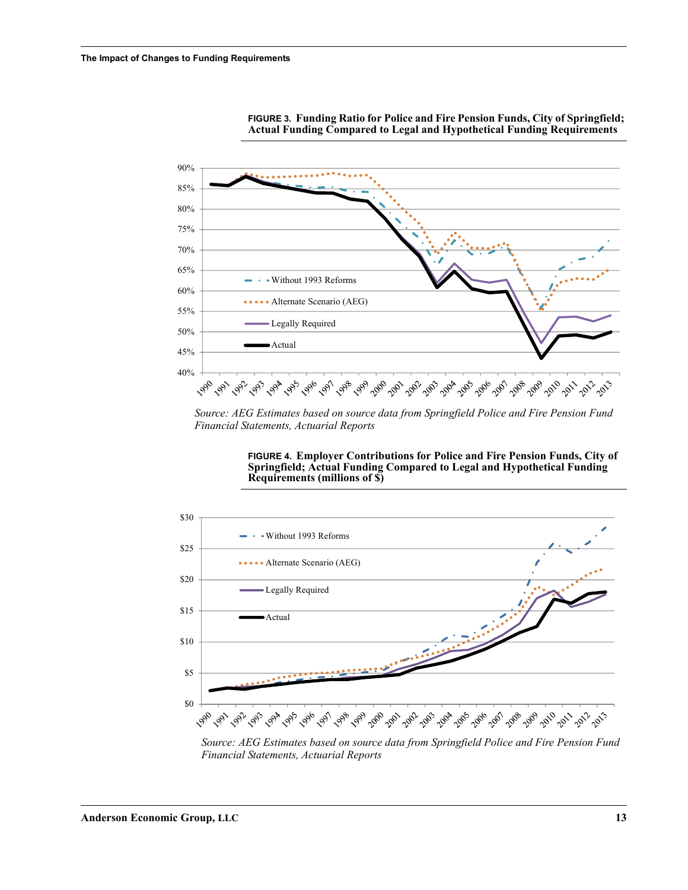



*Source: AEG Estimates based on source data from Springfield Police and Fire Pension Fund Financial Statements, Actuarial Reports*

#### **FIGURE 4. Employer Contributions for Police and Fire Pension Funds, City of Springfield; Actual Funding Compared to Legal and Hypothetical Funding Requirements (millions of \$)**



*Source: AEG Estimates based on source data from Springfield Police and Fire Pension Fund Financial Statements, Actuarial Reports*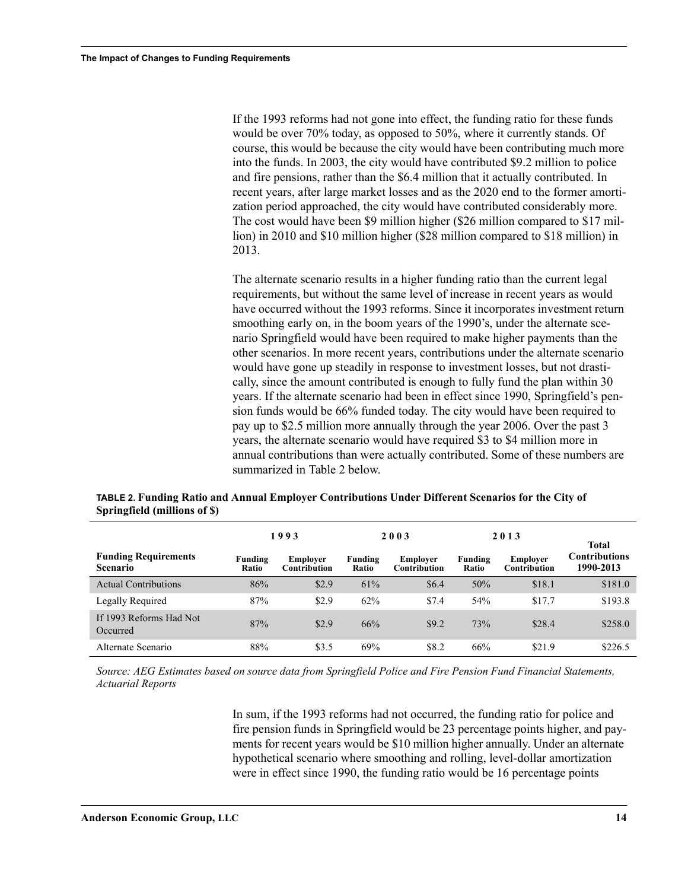If the 1993 reforms had not gone into effect, the funding ratio for these funds would be over 70% today, as opposed to 50%, where it currently stands. Of course, this would be because the city would have been contributing much more into the funds. In 2003, the city would have contributed \$9.2 million to police and fire pensions, rather than the \$6.4 million that it actually contributed. In recent years, after large market losses and as the 2020 end to the former amortization period approached, the city would have contributed considerably more. The cost would have been \$9 million higher (\$26 million compared to \$17 million) in 2010 and \$10 million higher (\$28 million compared to \$18 million) in 2013.

The alternate scenario results in a higher funding ratio than the current legal requirements, but without the same level of increase in recent years as would have occurred without the 1993 reforms. Since it incorporates investment return smoothing early on, in the boom years of the 1990's, under the alternate scenario Springfield would have been required to make higher payments than the other scenarios. In more recent years, contributions under the alternate scenario would have gone up steadily in response to investment losses, but not drastically, since the amount contributed is enough to fully fund the plan within 30 years. If the alternate scenario had been in effect since 1990, Springfield's pension funds would be 66% funded today. The city would have been required to pay up to \$2.5 million more annually through the year 2006. Over the past 3 years, the alternate scenario would have required \$3 to \$4 million more in annual contributions than were actually contributed. Some of these numbers are summarized in Table 2 below.

|                                                |                  | 1993                            |                         | 2003                     |                         | 2013                     | Total                      |
|------------------------------------------------|------------------|---------------------------------|-------------------------|--------------------------|-------------------------|--------------------------|----------------------------|
| <b>Funding Requirements</b><br><b>Scenario</b> | Funding<br>Ratio | Employer<br><b>Contribution</b> | Funding<br><b>Ratio</b> | Employer<br>Contribution | Funding<br><b>Ratio</b> | Employer<br>Contribution | Contributions<br>1990-2013 |
| <b>Actual Contributions</b>                    | 86%              | \$2.9                           | 61%                     | \$6.4                    | 50%                     | \$18.1                   | \$181.0                    |
| Legally Required                               | 87%              | \$2.9                           | 62%                     | \$7.4                    | 54%                     | \$17.7                   | \$193.8                    |
| If 1993 Reforms Had Not<br>Occurred            | 87%              | \$2.9                           | 66%                     | \$9.2                    | 73%                     | \$28.4                   | \$258.0                    |
| Alternate Scenario                             | 88%              | \$3.5                           | 69%                     | \$8.2                    | 66%                     | \$21.9                   | \$226.5                    |

**TABLE 2. Funding Ratio and Annual Employer Contributions Under Different Scenarios for the City of Springfield (millions of \$)**

*Source: AEG Estimates based on source data from Springfield Police and Fire Pension Fund Financial Statements, Actuarial Reports*

> In sum, if the 1993 reforms had not occurred, the funding ratio for police and fire pension funds in Springfield would be 23 percentage points higher, and payments for recent years would be \$10 million higher annually. Under an alternate hypothetical scenario where smoothing and rolling, level-dollar amortization were in effect since 1990, the funding ratio would be 16 percentage points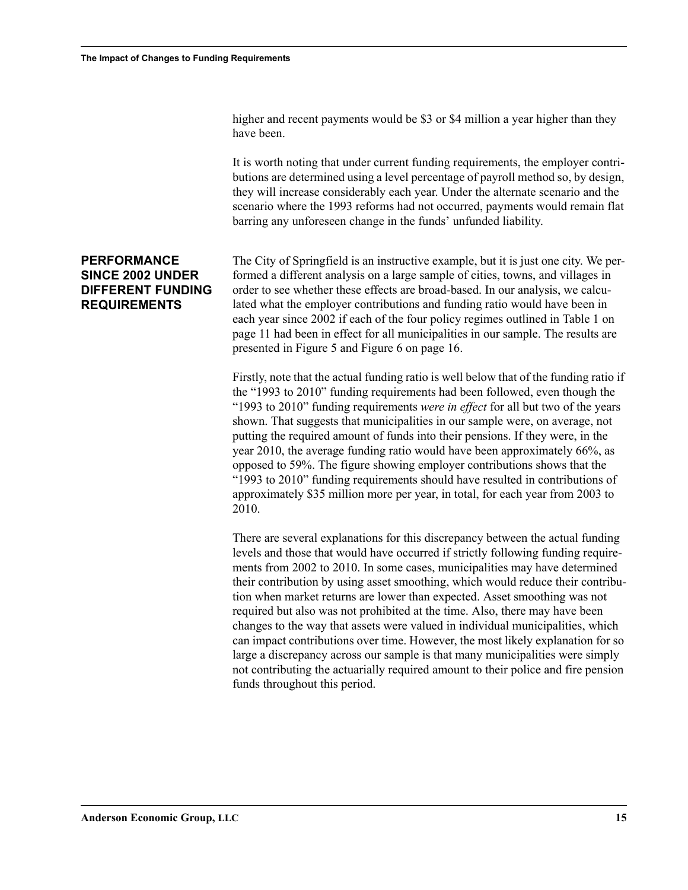higher and recent payments would be \$3 or \$4 million a year higher than they have been.

It is worth noting that under current funding requirements, the employer contributions are determined using a level percentage of payroll method so, by design, they will increase considerably each year. Under the alternate scenario and the scenario where the 1993 reforms had not occurred, payments would remain flat barring any unforeseen change in the funds' unfunded liability.

#### <span id="page-16-1"></span><span id="page-16-0"></span>**PERFORMANCE SINCE 2002 UNDER DIFFERENT FUNDING REQUIREMENTS**

The City of Springfield is an instructive example, but it is just one city. We performed a different analysis on a large sample of cities, towns, and villages in order to see whether these effects are broad-based. In our analysis, we calculated what the employer contributions and funding ratio would have been in each year since 2002 if each of the four policy regimes outlined in Table 1 on page 11 had been in effect for all municipalities in our sample. The results are presented in Figure 5 and Figure 6 on page 16.

Firstly, note that the actual funding ratio is well below that of the funding ratio if the "1993 to 2010" funding requirements had been followed, even though the "1993 to 2010" funding requirements *were in effect* for all but two of the years shown. That suggests that municipalities in our sample were, on average, not putting the required amount of funds into their pensions. If they were, in the year 2010, the average funding ratio would have been approximately 66%, as opposed to 59%. The figure showing employer contributions shows that the "1993 to 2010" funding requirements should have resulted in contributions of approximately \$35 million more per year, in total, for each year from 2003 to 2010.

There are several explanations for this discrepancy between the actual funding levels and those that would have occurred if strictly following funding requirements from 2002 to 2010. In some cases, municipalities may have determined their contribution by using asset smoothing, which would reduce their contribution when market returns are lower than expected. Asset smoothing was not required but also was not prohibited at the time. Also, there may have been changes to the way that assets were valued in individual municipalities, which can impact contributions over time. However, the most likely explanation for so large a discrepancy across our sample is that many municipalities were simply not contributing the actuarially required amount to their police and fire pension funds throughout this period.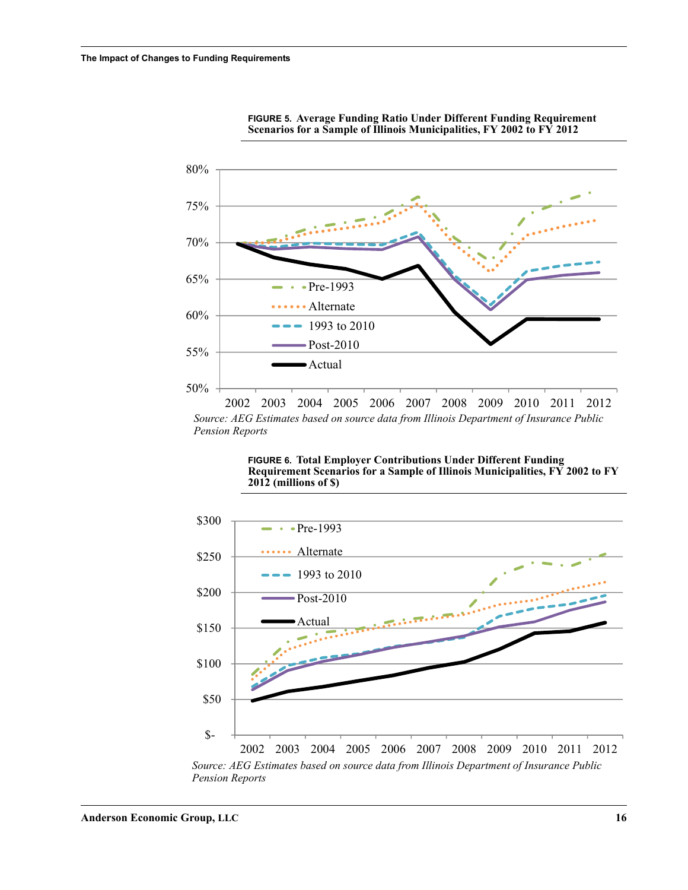



*Source: AEG Estimates based on source data from Illinois Department of Insurance Public Pension Reports*

> **FIGURE 6. Total Employer Contributions Under Different Funding Requirement Scenarios for a Sample of Illinois Municipalities, FY 2002 to FY 2012 (millions of \$)**



*Pension Reports*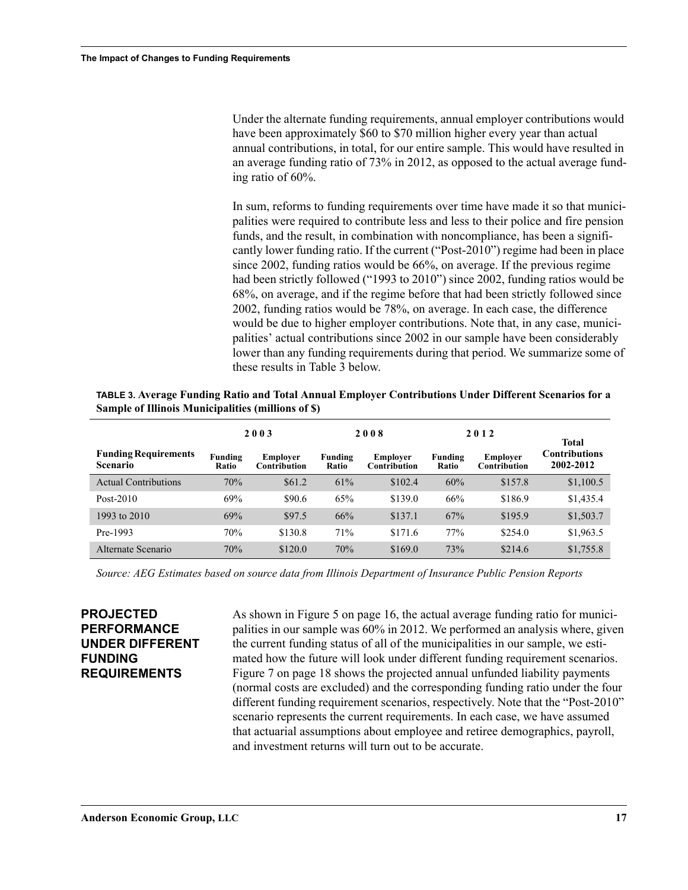Under the alternate funding requirements, annual employer contributions would have been approximately \$60 to \$70 million higher every year than actual annual contributions, in total, for our entire sample. This would have resulted in an average funding ratio of 73% in 2012, as opposed to the actual average funding ratio of 60%.

In sum, reforms to funding requirements over time have made it so that municipalities were required to contribute less and less to their police and fire pension funds, and the result, in combination with noncompliance, has been a significantly lower funding ratio. If the current ("Post-2010") regime had been in place since 2002, funding ratios would be 66%, on average. If the previous regime had been strictly followed ("1993 to 2010") since 2002, funding ratios would be 68%, on average, and if the regime before that had been strictly followed since 2002, funding ratios would be 78%, on average. In each case, the difference would be due to higher employer contributions. Note that, in any case, municipalities' actual contributions since 2002 in our sample have been considerably lower than any funding requirements during that period. We summarize some of these results in Table 3 below.

**TABLE 3. Average Funding Ratio and Total Annual Employer Contributions Under Different Scenarios for a Sample of Illinois Municipalities (millions of \$)**

|                                                | 2003             |                                 | 2008             |                                 | 2012             |                                        | Total                             |
|------------------------------------------------|------------------|---------------------------------|------------------|---------------------------------|------------------|----------------------------------------|-----------------------------------|
| <b>Funding Requirements</b><br><b>Scenario</b> | Funding<br>Ratio | Employer<br><b>Contribution</b> | Funding<br>Ratio | Employer<br><b>Contribution</b> | Funding<br>Ratio | <b>Employer</b><br><b>Contribution</b> | <b>Contributions</b><br>2002-2012 |
| <b>Actual Contributions</b>                    | 70%              | \$61.2\$                        | 61%              | \$102.4                         | 60%              | \$157.8                                | \$1,100.5                         |
| Post- $2010$                                   | 69%              | \$90.6                          | 65%              | \$139.0                         | 66%              | \$186.9                                | \$1,435.4                         |
| 1993 to 2010                                   | 69%              | \$97.5                          | 66%              | \$137.1                         | 67%              | \$195.9                                | \$1,503.7                         |
| Pre-1993                                       | 70%              | \$130.8                         | 71%              | \$171.6                         | 77%              | \$254.0                                | \$1,963.5                         |
| Alternate Scenario                             | 70%              | \$120.0                         | 70%              | \$169.0                         | 73%              | \$214.6                                | \$1,755.8                         |

*Source: AEG Estimates based on source data from Illinois Department of Insurance Public Pension Reports*

<span id="page-18-1"></span><span id="page-18-0"></span>**PROJECTED PERFORMANCE UNDER DIFFERENT FUNDING REQUIREMENTS**

As shown in Figure 5 on page 16, the actual average funding ratio for municipalities in our sample was 60% in 2012. We performed an analysis where, given the current funding status of all of the municipalities in our sample, we estimated how the future will look under different funding requirement scenarios. Figure 7 on page 18 shows the projected annual unfunded liability payments (normal costs are excluded) and the corresponding funding ratio under the four different funding requirement scenarios, respectively. Note that the "Post-2010" scenario represents the current requirements. In each case, we have assumed that actuarial assumptions about employee and retiree demographics, payroll, and investment returns will turn out to be accurate.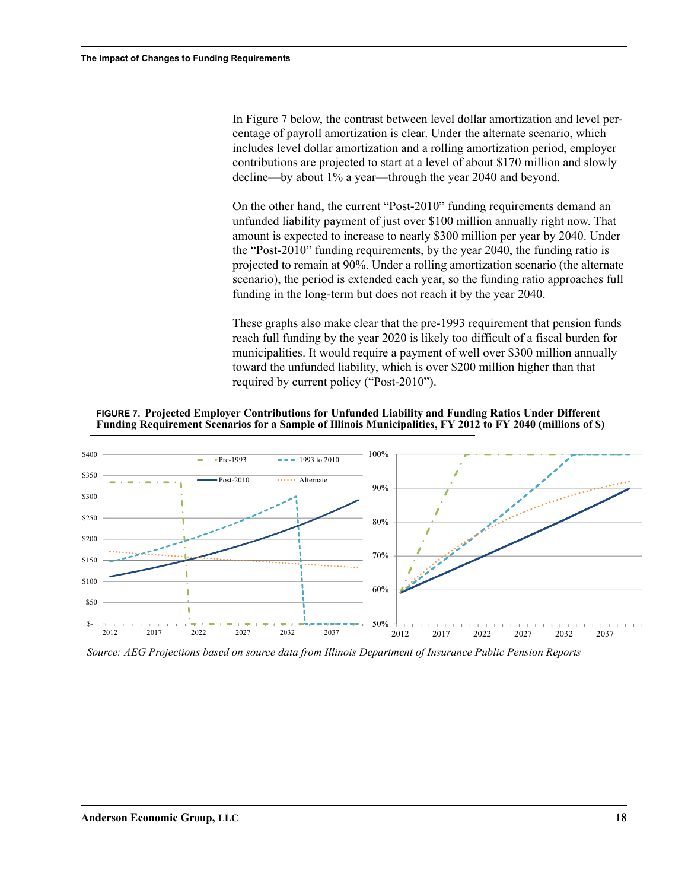In Figure 7 below, the contrast between level dollar amortization and level percentage of payroll amortization is clear. Under the alternate scenario, which includes level dollar amortization and a rolling amortization period, employer contributions are projected to start at a level of about \$170 million and slowly decline—by about 1% a year—through the year 2040 and beyond.

On the other hand, the current "Post-2010" funding requirements demand an unfunded liability payment of just over \$100 million annually right now. That amount is expected to increase to nearly \$300 million per year by 2040. Under the "Post-2010" funding requirements, by the year 2040, the funding ratio is projected to remain at 90%. Under a rolling amortization scenario (the alternate scenario), the period is extended each year, so the funding ratio approaches full funding in the long-term but does not reach it by the year 2040.

These graphs also make clear that the pre-1993 requirement that pension funds reach full funding by the year 2020 is likely too difficult of a fiscal burden for municipalities. It would require a payment of well over \$300 million annually toward the unfunded liability, which is over \$200 million higher than that required by current policy ("Post-2010").

**FIGURE 7. Projected Employer Contributions for Unfunded Liability and Funding Ratios Under Different Funding Requirement Scenarios for a Sample of Illinois Municipalities, FY 2012 to FY 2040 (millions of \$)**



*Source: AEG Projections based on source data from Illinois Department of Insurance Public Pension Reports*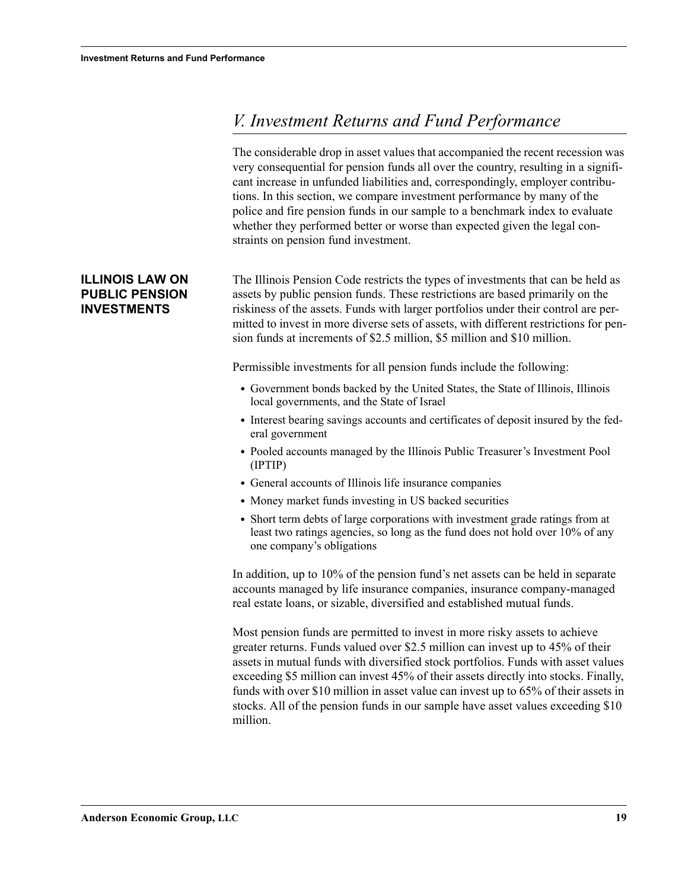# <span id="page-20-0"></span>*V. Investment Returns and Fund Performance*

The considerable drop in asset values that accompanied the recent recession was very consequential for pension funds all over the country, resulting in a significant increase in unfunded liabilities and, correspondingly, employer contributions. In this section, we compare investment performance by many of the police and fire pension funds in our sample to a benchmark index to evaluate whether they performed better or worse than expected given the legal constraints on pension fund investment.

The Illinois Pension Code restricts the types of investments that can be held as assets by public pension funds. These restrictions are based primarily on the riskiness of the assets. Funds with larger portfolios under their control are permitted to invest in more diverse sets of assets, with different restrictions for pension funds at increments of \$2.5 million, \$5 million and \$10 million.

Permissible investments for all pension funds include the following:

- **•** Government bonds backed by the United States, the State of Illinois, Illinois local governments, and the State of Israel
- **•** Interest bearing savings accounts and certificates of deposit insured by the federal government
- **•** Pooled accounts managed by the Illinois Public Treasurer's Investment Pool (IPTIP)
- **•** General accounts of Illinois life insurance companies
- **•** Money market funds investing in US backed securities
- Short term debts of large corporations with investment grade ratings from at least two ratings agencies, so long as the fund does not hold over 10% of any one company's obligations

In addition, up to 10% of the pension fund's net assets can be held in separate accounts managed by life insurance companies, insurance company-managed real estate loans, or sizable, diversified and established mutual funds.

Most pension funds are permitted to invest in more risky assets to achieve greater returns. Funds valued over \$2.5 million can invest up to 45% of their assets in mutual funds with diversified stock portfolios. Funds with asset values exceeding \$5 million can invest 45% of their assets directly into stocks. Finally, funds with over \$10 million in asset value can invest up to 65% of their assets in stocks. All of the pension funds in our sample have asset values exceeding \$10 million.

#### <span id="page-20-1"></span>**ILLINOIS LAW ON PUBLIC PENSION INVESTMENTS**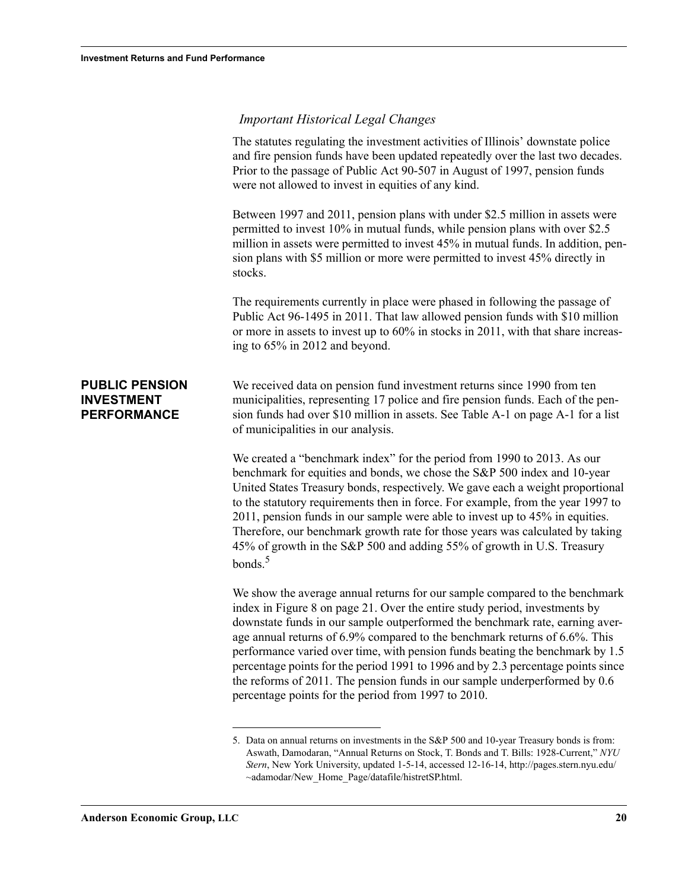<span id="page-21-1"></span><span id="page-21-0"></span>

|                                                                  | <b>Important Historical Legal Changes</b>                                                                                                                                                                                                                                                                                                                                                                                                                                                                                                                                                                                         |
|------------------------------------------------------------------|-----------------------------------------------------------------------------------------------------------------------------------------------------------------------------------------------------------------------------------------------------------------------------------------------------------------------------------------------------------------------------------------------------------------------------------------------------------------------------------------------------------------------------------------------------------------------------------------------------------------------------------|
|                                                                  | The statutes regulating the investment activities of Illinois' downstate police<br>and fire pension funds have been updated repeatedly over the last two decades.<br>Prior to the passage of Public Act 90-507 in August of 1997, pension funds<br>were not allowed to invest in equities of any kind.                                                                                                                                                                                                                                                                                                                            |
|                                                                  | Between 1997 and 2011, pension plans with under \$2.5 million in assets were<br>permitted to invest 10% in mutual funds, while pension plans with over \$2.5<br>million in assets were permitted to invest 45% in mutual funds. In addition, pen-<br>sion plans with \$5 million or more were permitted to invest 45% directly in<br>stocks.                                                                                                                                                                                                                                                                                      |
|                                                                  | The requirements currently in place were phased in following the passage of<br>Public Act 96-1495 in 2011. That law allowed pension funds with \$10 million<br>or more in assets to invest up to 60% in stocks in 2011, with that share increas-<br>ing to 65% in 2012 and beyond.                                                                                                                                                                                                                                                                                                                                                |
| <b>PUBLIC PENSION</b><br><b>INVESTMENT</b><br><b>PERFORMANCE</b> | We received data on pension fund investment returns since 1990 from ten<br>municipalities, representing 17 police and fire pension funds. Each of the pen-<br>sion funds had over \$10 million in assets. See Table A-1 on page A-1 for a list<br>of municipalities in our analysis.                                                                                                                                                                                                                                                                                                                                              |
|                                                                  | We created a "benchmark index" for the period from 1990 to 2013. As our<br>benchmark for equities and bonds, we chose the S&P 500 index and 10-year<br>United States Treasury bonds, respectively. We gave each a weight proportional<br>to the statutory requirements then in force. For example, from the year 1997 to<br>2011, pension funds in our sample were able to invest up to 45% in equities.<br>Therefore, our benchmark growth rate for those years was calculated by taking<br>45% of growth in the S&P 500 and adding 55% of growth in U.S. Treasury<br>bonds. <sup>5</sup>                                        |
|                                                                  | We show the average annual returns for our sample compared to the benchmark<br>index in Figure 8 on page 21. Over the entire study period, investments by<br>downstate funds in our sample outperformed the benchmark rate, earning aver-<br>age annual returns of 6.9% compared to the benchmark returns of 6.6%. This<br>performance varied over time, with pension funds beating the benchmark by 1.5<br>percentage points for the period 1991 to 1996 and by 2.3 percentage points since<br>the reforms of 2011. The pension funds in our sample underperformed by 0.6<br>percentage points for the period from 1997 to 2010. |
|                                                                  |                                                                                                                                                                                                                                                                                                                                                                                                                                                                                                                                                                                                                                   |

<sup>5.</sup> Data on annual returns on investments in the S&P 500 and 10-year Treasury bonds is from: Aswath, Damodaran, "Annual Returns on Stock, T. Bonds and T. Bills: 1928-Current," *NYU Stern*, New York University, updated 1-5-14, accessed 12-16-14, http://pages.stern.nyu.edu/ ~adamodar/New\_Home\_Page/datafile/histretSP.html.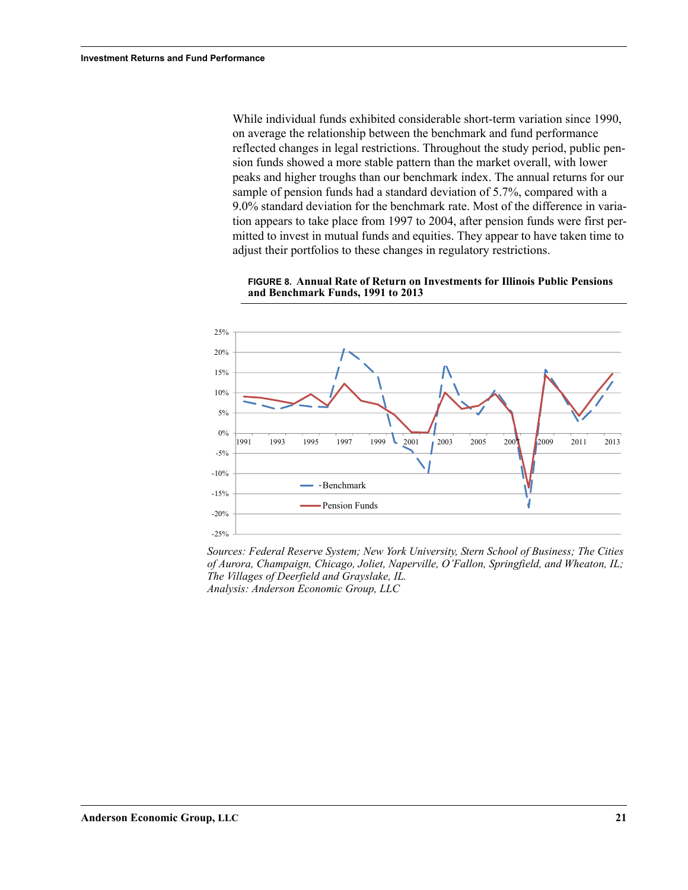While individual funds exhibited considerable short-term variation since 1990, on average the relationship between the benchmark and fund performance reflected changes in legal restrictions. Throughout the study period, public pension funds showed a more stable pattern than the market overall, with lower peaks and higher troughs than our benchmark index. The annual returns for our sample of pension funds had a standard deviation of 5.7%, compared with a 9.0% standard deviation for the benchmark rate. Most of the difference in variation appears to take place from 1997 to 2004, after pension funds were first permitted to invest in mutual funds and equities. They appear to have taken time to adjust their portfolios to these changes in regulatory restrictions.



**FIGURE 8. Annual Rate of Return on Investments for Illinois Public Pensions and Benchmark Funds, 1991 to 2013**

*Sources: Federal Reserve System; New York University, Stern School of Business; The Cities of Aurora, Champaign, Chicago, Joliet, Naperville, O'Fallon, Springfield, and Wheaton, IL; Analysis: Anderson Economic Group, LLC The Villages of Deerfield and Grayslake, IL.*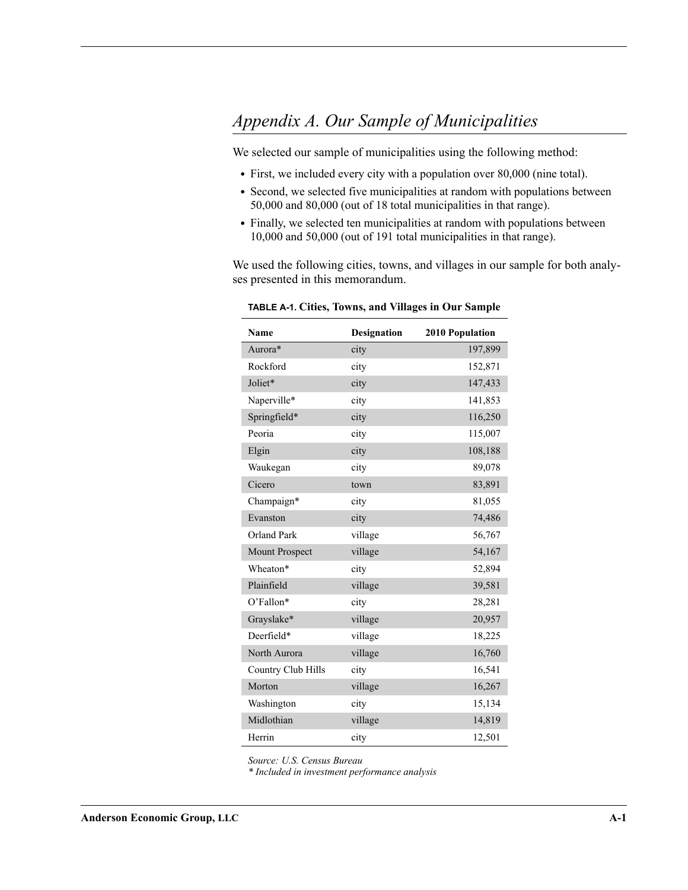# <span id="page-23-1"></span><span id="page-23-0"></span>*Appendix A. Our Sample of Municipalities*

We selected our sample of municipalities using the following method:

- **•** First, we included every city with a population over 80,000 (nine total).
- **•** Second, we selected five municipalities at random with populations between 50,000 and 80,000 (out of 18 total municipalities in that range).
- **•** Finally, we selected ten municipalities at random with populations between 10,000 and 50,000 (out of 191 total municipalities in that range).

We used the following cities, towns, and villages in our sample for both analyses presented in this memorandum.

| Name                  | <b>Designation</b> | 2010 Population |
|-----------------------|--------------------|-----------------|
| Aurora*               | city               | 197,899         |
| Rockford              | city               | 152,871         |
| Joliet*               | city               | 147,433         |
| Naperville*           | city               | 141,853         |
| Springfield*          | city               | 116,250         |
| Peoria                | city               | 115,007         |
| Elgin                 | city               | 108,188         |
| Waukegan              | city               | 89,078          |
| Cicero                | town               | 83,891          |
| Champaign*            | city               | 81,055          |
| Evanston              | city               | 74,486          |
| <b>Orland Park</b>    | village            | 56,767          |
| <b>Mount Prospect</b> | village            | 54,167          |
| Wheaton*              | city               | 52,894          |
| Plainfield            | village            | 39,581          |
| O'Fallon*             | city               | 28,281          |
| Grayslake*            | village            | 20,957          |
| Deerfield*            | village            | 18,225          |
| North Aurora          | village            | 16,760          |
| Country Club Hills    | city               | 16,541          |
| Morton                | village            | 16,267          |
| Washington            | city               | 15,134          |
| Midlothian            | village            | 14,819          |
| Herrin                | city               | 12,501          |

<span id="page-23-2"></span>**TABLE A-1. Cities, Towns, and Villages in Our Sample**

*Source: U.S. Census Bureau*

*\* Included in investment performance analysis*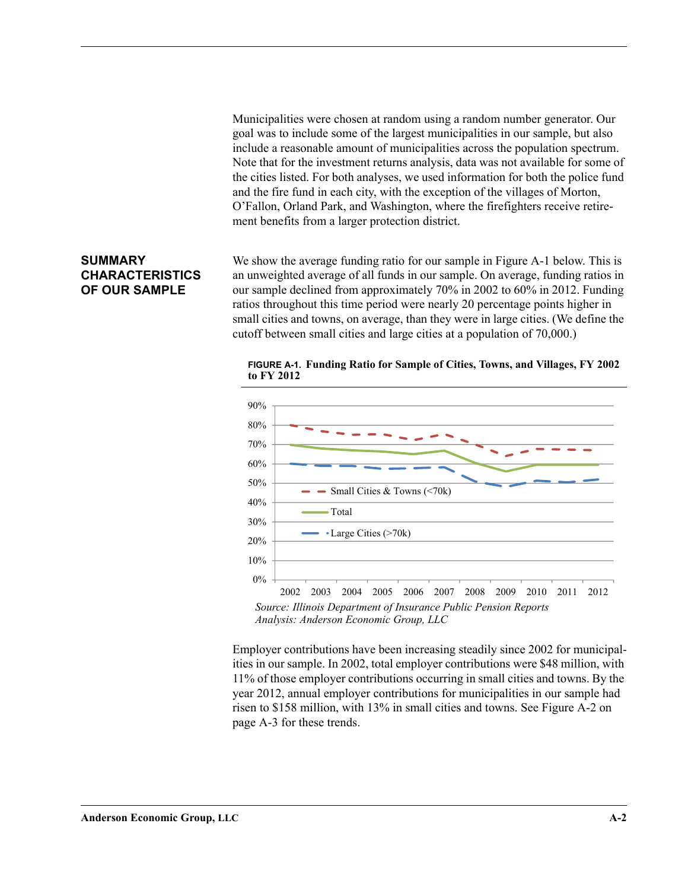Municipalities were chosen at random using a random number generator. Our goal was to include some of the largest municipalities in our sample, but also include a reasonable amount of municipalities across the population spectrum. Note that for the investment returns analysis, data was not available for some of the cities listed. For both analyses, we used information for both the police fund and the fire fund in each city, with the exception of the villages of Morton, O'Fallon, Orland Park, and Washington, where the firefighters receive retirement benefits from a larger protection district.

#### <span id="page-24-0"></span>**SUMMARY CHARACTERISTICS OF OUR SAMPLE**

We show the average funding ratio for our sample in [Figure A-1](#page-24-1) below. This is an unweighted average of all funds in our sample. On average, funding ratios in our sample declined from approximately 70% in 2002 to 60% in 2012. Funding ratios throughout this time period were nearly 20 percentage points higher in small cities and towns, on average, than they were in large cities. (We define the cutoff between small cities and large cities at a population of 70,000.)

<span id="page-24-1"></span>**FIGURE A-1. Funding Ratio for Sample of Cities, Towns, and Villages, FY 2002 to FY 2012**



*Source: Illinois Department of Insurance Public Pension Reports Analysis: Anderson Economic Group, LLC*

Employer contributions have been increasing steadily since 2002 for municipalities in our sample. In 2002, total employer contributions were \$48 million, with 11% of those employer contributions occurring in small cities and towns. By the year 2012, annual employer contributions for municipalities in our sample had risen to \$158 million, with 13% in small cities and towns. See Figure A-2 on page A-3 for these trends.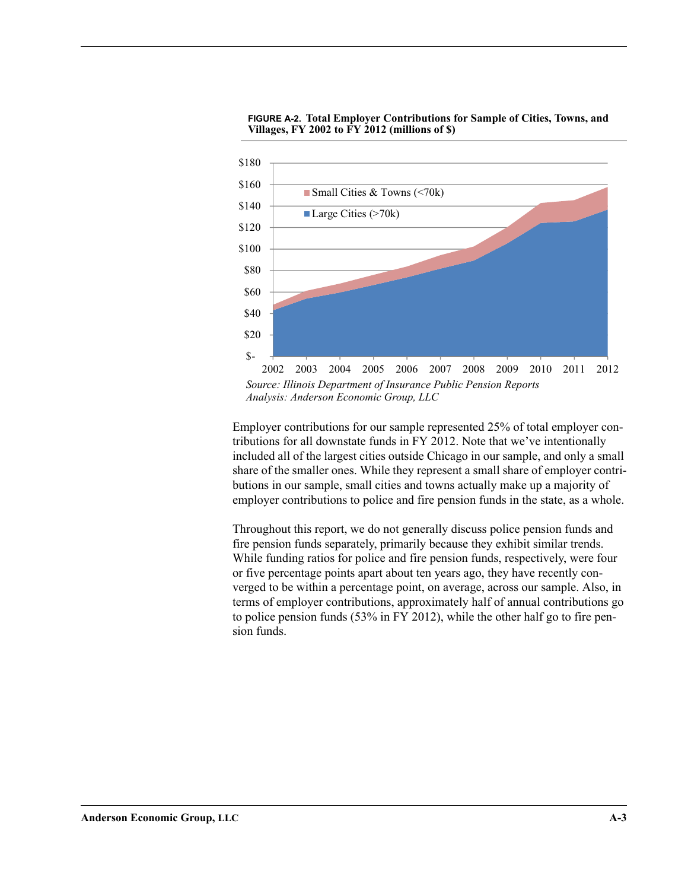

**FIGURE A-2. Total Employer Contributions for Sample of Cities, Towns, and Villages, FY 2002 to FY 2012 (millions of \$)**

2002 2003 2004 2005 2006 2007 2008 2009 2010 2011 2012 *Source: Illinois Department of Insurance Public Pension Reports Analysis: Anderson Economic Group, LLC*

Employer contributions for our sample represented 25% of total employer contributions for all downstate funds in FY 2012. Note that we've intentionally included all of the largest cities outside Chicago in our sample, and only a small share of the smaller ones. While they represent a small share of employer contributions in our sample, small cities and towns actually make up a majority of employer contributions to police and fire pension funds in the state, as a whole.

Throughout this report, we do not generally discuss police pension funds and fire pension funds separately, primarily because they exhibit similar trends. While funding ratios for police and fire pension funds, respectively, were four or five percentage points apart about ten years ago, they have recently converged to be within a percentage point, on average, across our sample. Also, in terms of employer contributions, approximately half of annual contributions go to police pension funds (53% in FY 2012), while the other half go to fire pension funds.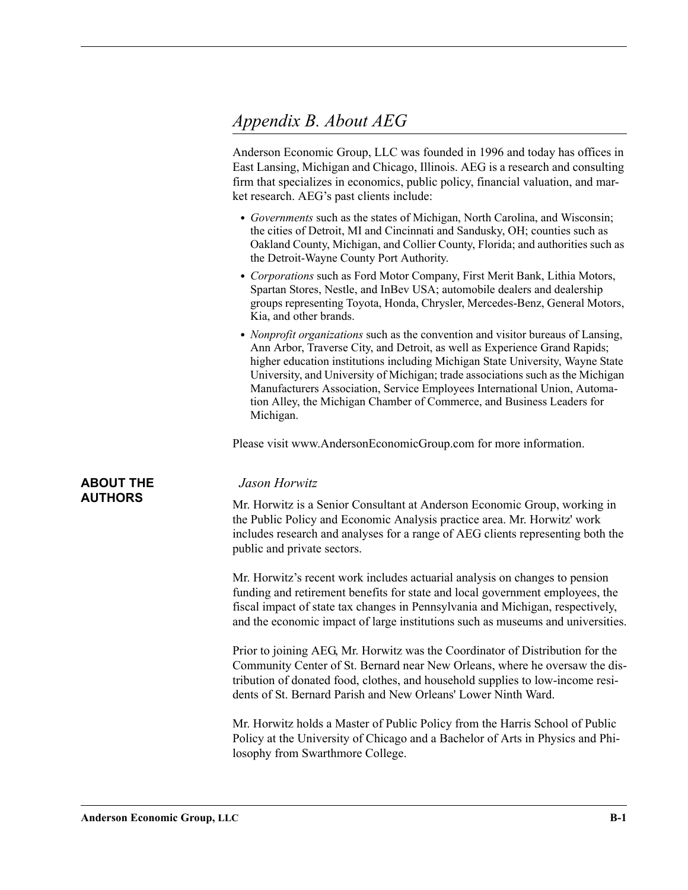## <span id="page-26-0"></span>*Appendix B. About AEG*

Anderson Economic Group, LLC was founded in 1996 and today has offices in East Lansing, Michigan and Chicago, Illinois. AEG is a research and consulting firm that specializes in economics, public policy, financial valuation, and market research. AEG's past clients include:

- **•** *Governments* such as the states of Michigan, North Carolina, and Wisconsin; the cities of Detroit, MI and Cincinnati and Sandusky, OH; counties such as Oakland County, Michigan, and Collier County, Florida; and authorities such as the Detroit-Wayne County Port Authority.
- **•** *Corporations* such as Ford Motor Company, First Merit Bank, Lithia Motors, Spartan Stores, Nestle, and InBev USA; automobile dealers and dealership groups representing Toyota, Honda, Chrysler, Mercedes-Benz, General Motors, Kia, and other brands.
- **•** *Nonprofit organizations* such as the convention and visitor bureaus of Lansing, Ann Arbor, Traverse City, and Detroit, as well as Experience Grand Rapids; higher education institutions including Michigan State University, Wayne State University, and University of Michigan; trade associations such as the Michigan Manufacturers Association, Service Employees International Union, Automation Alley, the Michigan Chamber of Commerce, and Business Leaders for Michigan.

Please visit www.AndersonEconomicGroup.com for more information.

#### <span id="page-26-1"></span>**ABOUT THE AUTHORS**

#### *Jason Horwitz*

Mr. Horwitz is a Senior Consultant at Anderson Economic Group, working in the Public Policy and Economic Analysis practice area. Mr. Horwitz' work includes research and analyses for a range of AEG clients representing both the public and private sectors.

Mr. Horwitz's recent work includes actuarial analysis on changes to pension funding and retirement benefits for state and local government employees, the fiscal impact of state tax changes in Pennsylvania and Michigan, respectively, and the economic impact of large institutions such as museums and universities.

Prior to joining AEG, Mr. Horwitz was the Coordinator of Distribution for the Community Center of St. Bernard near New Orleans, where he oversaw the distribution of donated food, clothes, and household supplies to low-income residents of St. Bernard Parish and New Orleans' Lower Ninth Ward.

Mr. Horwitz holds a Master of Public Policy from the Harris School of Public Policy at the University of Chicago and a Bachelor of Arts in Physics and Philosophy from Swarthmore College.